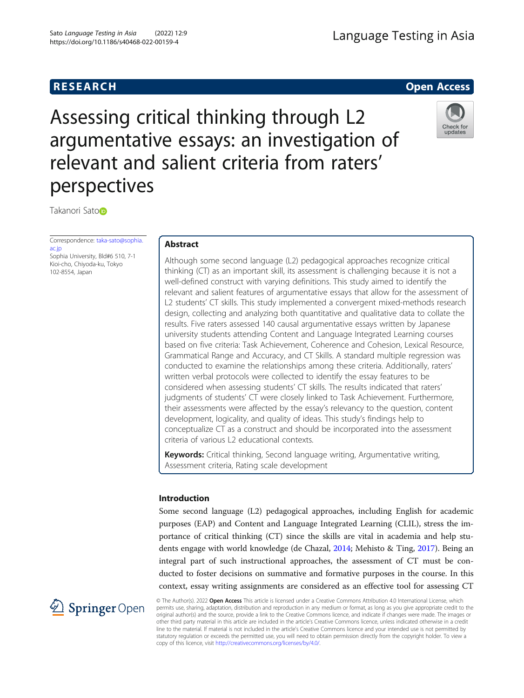# **RESEARCH RESEARCH** *CHECKER CHECKER CHECKER CHECKER CHECKER CHECKER CHECKER CHECKER CHECKER CHECKER CHECKER*

# Assessing critical thinking through L2 argumentative essays: an investigation of relevant and salient criteria from raters' perspectives



Takanori Saton

Correspondence: [taka-sato@sophia.](mailto:taka-sato@sophia.ac.jp) [ac.jp](mailto:taka-sato@sophia.ac.jp) Sophia University, Bld#6 510, 7-1 Kioi-cho, Chiyoda-ku, Tokyo 102-8554, Japan

# Abstract

Although some second language (L2) pedagogical approaches recognize critical thinking (CT) as an important skill, its assessment is challenging because it is not a well-defined construct with varying definitions. This study aimed to identify the relevant and salient features of argumentative essays that allow for the assessment of L2 students' CT skills. This study implemented a convergent mixed-methods research design, collecting and analyzing both quantitative and qualitative data to collate the results. Five raters assessed 140 causal argumentative essays written by Japanese university students attending Content and Language Integrated Learning courses based on five criteria: Task Achievement, Coherence and Cohesion, Lexical Resource, Grammatical Range and Accuracy, and CT Skills. A standard multiple regression was conducted to examine the relationships among these criteria. Additionally, raters' written verbal protocols were collected to identify the essay features to be considered when assessing students' CT skills. The results indicated that raters' judgments of students' CT were closely linked to Task Achievement. Furthermore, their assessments were affected by the essay's relevancy to the question, content development, logicality, and quality of ideas. This study's findings help to conceptualize CT as a construct and should be incorporated into the assessment criteria of various L2 educational contexts.

Keywords: Critical thinking, Second language writing, Argumentative writing, Assessment criteria, Rating scale development

## Introduction

Some second language (L2) pedagogical approaches, including English for academic purposes (EAP) and Content and Language Integrated Learning (CLIL), stress the importance of critical thinking (CT) since the skills are vital in academia and help students engage with world knowledge (de Chazal, [2014;](#page-17-0) Mehisto & Ting, [2017\)](#page-18-0). Being an integral part of such instructional approaches, the assessment of CT must be conducted to foster decisions on summative and formative purposes in the course. In this context, essay writing assignments are considered as an effective tool for assessing CT



© The Author(s). 2022 Open Access This article is licensed under a Creative Commons Attribution 4.0 International License, which permits use, sharing, adaptation, distribution and reproduction in any medium or format, as long as you give appropriate credit to the original author(s) and the source, provide a link to the Creative Commons licence, and indicate if changes were made. The images or other third party material in this article are included in the article's Creative Commons licence, unless indicated otherwise in a credit line to the material. If material is not included in the article's Creative Commons licence and your intended use is not permitted by statutory regulation or exceeds the permitted use, you will need to obtain permission directly from the copyright holder. To view a copy of this licence, visit <http://creativecommons.org/licenses/by/4.0/>.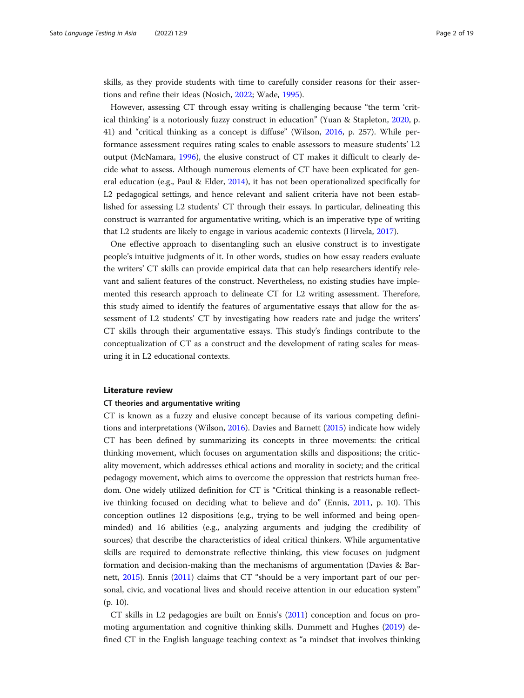skills, as they provide students with time to carefully consider reasons for their assertions and refine their ideas (Nosich, [2022;](#page-18-0) Wade, [1995](#page-18-0)).

However, assessing CT through essay writing is challenging because "the term 'critical thinking' is a notoriously fuzzy construct in education" (Yuan & Stapleton, [2020,](#page-18-0) p. 41) and "critical thinking as a concept is diffuse" (Wilson, [2016](#page-18-0), p. 257). While performance assessment requires rating scales to enable assessors to measure students' L2 output (McNamara, [1996\)](#page-18-0), the elusive construct of CT makes it difficult to clearly decide what to assess. Although numerous elements of CT have been explicated for general education (e.g., Paul & Elder, [2014](#page-18-0)), it has not been operationalized specifically for L2 pedagogical settings, and hence relevant and salient criteria have not been established for assessing L2 students' CT through their essays. In particular, delineating this construct is warranted for argumentative writing, which is an imperative type of writing that L2 students are likely to engage in various academic contexts (Hirvela, [2017\)](#page-17-0).

One effective approach to disentangling such an elusive construct is to investigate people's intuitive judgments of it. In other words, studies on how essay readers evaluate the writers' CT skills can provide empirical data that can help researchers identify relevant and salient features of the construct. Nevertheless, no existing studies have implemented this research approach to delineate CT for L2 writing assessment. Therefore, this study aimed to identify the features of argumentative essays that allow for the assessment of L2 students' CT by investigating how readers rate and judge the writers' CT skills through their argumentative essays. This study's findings contribute to the conceptualization of CT as a construct and the development of rating scales for measuring it in L2 educational contexts.

#### Literature review

#### CT theories and argumentative writing

CT is known as a fuzzy and elusive concept because of its various competing definitions and interpretations (Wilson, [2016\)](#page-18-0). Davies and Barnett ([2015](#page-17-0)) indicate how widely CT has been defined by summarizing its concepts in three movements: the critical thinking movement, which focuses on argumentation skills and dispositions; the criticality movement, which addresses ethical actions and morality in society; and the critical pedagogy movement, which aims to overcome the oppression that restricts human freedom. One widely utilized definition for CT is "Critical thinking is a reasonable reflective thinking focused on deciding what to believe and do" (Ennis, [2011](#page-17-0), p. 10). This conception outlines 12 dispositions (e.g., trying to be well informed and being openminded) and 16 abilities (e.g., analyzing arguments and judging the credibility of sources) that describe the characteristics of ideal critical thinkers. While argumentative skills are required to demonstrate reflective thinking, this view focuses on judgment formation and decision-making than the mechanisms of argumentation (Davies & Barnett, [2015](#page-17-0)). Ennis ([2011](#page-17-0)) claims that CT "should be a very important part of our personal, civic, and vocational lives and should receive attention in our education system" (p. 10).

CT skills in L2 pedagogies are built on Ennis's [\(2011\)](#page-17-0) conception and focus on promoting argumentation and cognitive thinking skills. Dummett and Hughes ([2019\)](#page-17-0) defined CT in the English language teaching context as "a mindset that involves thinking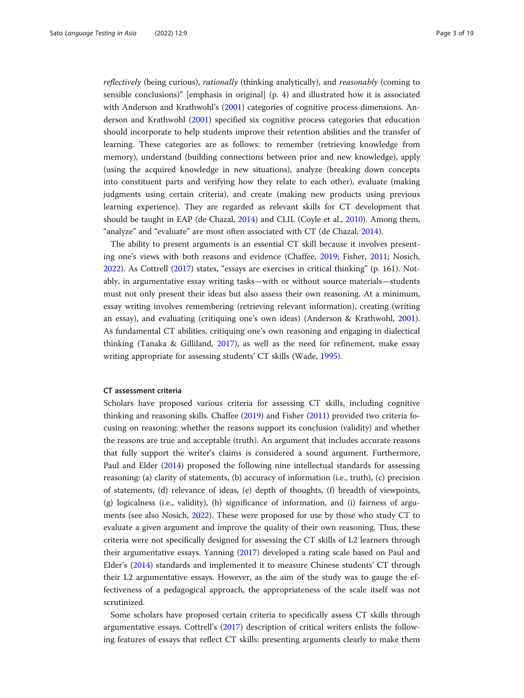reflectively (being curious), rationally (thinking analytically), and reasonably (coming to sensible conclusions)" [emphasis in original] (p. 4) and illustrated how it is associated with Anderson and Krathwohl's [\(2001\)](#page-17-0) categories of cognitive process dimensions. Anderson and Krathwohl ([2001](#page-17-0)) specified six cognitive process categories that education should incorporate to help students improve their retention abilities and the transfer of learning. These categories are as follows: to remember (retrieving knowledge from memory), understand (building connections between prior and new knowledge), apply (using the acquired knowledge in new situations), analyze (breaking down concepts into constituent parts and verifying how they relate to each other), evaluate (making judgments using certain criteria), and create (making new products using previous learning experience). They are regarded as relevant skills for CT development that should be taught in EAP (de Chazal, [2014](#page-17-0)) and CLIL (Coyle et al., [2010\)](#page-17-0). Among them, "analyze" and "evaluate" are most often associated with CT (de Chazal, [2014](#page-17-0)).

The ability to present arguments is an essential CT skill because it involves presenting one's views with both reasons and evidence (Chaffee, [2019;](#page-17-0) Fisher, [2011;](#page-17-0) Nosich, [2022](#page-18-0)). As Cottrell ([2017](#page-17-0)) states, "essays are exercises in critical thinking" (p. 161). Notably, in argumentative essay writing tasks—with or without source materials—students must not only present their ideas but also assess their own reasoning. At a minimum, essay writing involves remembering (retrieving relevant information), creating (writing an essay), and evaluating (critiquing one's own ideas) (Anderson & Krathwohl, [2001](#page-17-0)). As fundamental CT abilities, critiquing one's own reasoning and engaging in dialectical thinking (Tanaka & Gilliland, [2017\)](#page-18-0), as well as the need for refinement, make essay writing appropriate for assessing students' CT skills (Wade, [1995\)](#page-18-0).

#### CT assessment criteria

Scholars have proposed various criteria for assessing CT skills, including cognitive thinking and reasoning skills. Chaffee [\(2019\)](#page-17-0) and Fisher ([2011](#page-17-0)) provided two criteria focusing on reasoning: whether the reasons support its conclusion (validity) and whether the reasons are true and acceptable (truth). An argument that includes accurate reasons that fully support the writer's claims is considered a sound argument. Furthermore, Paul and Elder [\(2014\)](#page-18-0) proposed the following nine intellectual standards for assessing reasoning: (a) clarity of statements, (b) accuracy of information (i.e., truth), (c) precision of statements, (d) relevance of ideas, (e) depth of thoughts, (f) breadth of viewpoints, (g) logicalness (i.e., validity), (h) significance of information, and (i) fairness of arguments (see also Nosich, [2022\)](#page-18-0). These were proposed for use by those who study CT to evaluate a given argument and improve the quality of their own reasoning. Thus, these criteria were not specifically designed for assessing the CT skills of L2 learners through their argumentative essays. Yanning ([2017](#page-18-0)) developed a rating scale based on Paul and Elder's [\(2014\)](#page-18-0) standards and implemented it to measure Chinese students' CT through their L2 argumentative essays. However, as the aim of the study was to gauge the effectiveness of a pedagogical approach, the appropriateness of the scale itself was not scrutinized.

Some scholars have proposed certain criteria to specifically assess CT skills through argumentative essays. Cottrell's [\(2017](#page-17-0)) description of critical writers enlists the following features of essays that reflect CT skills: presenting arguments clearly to make them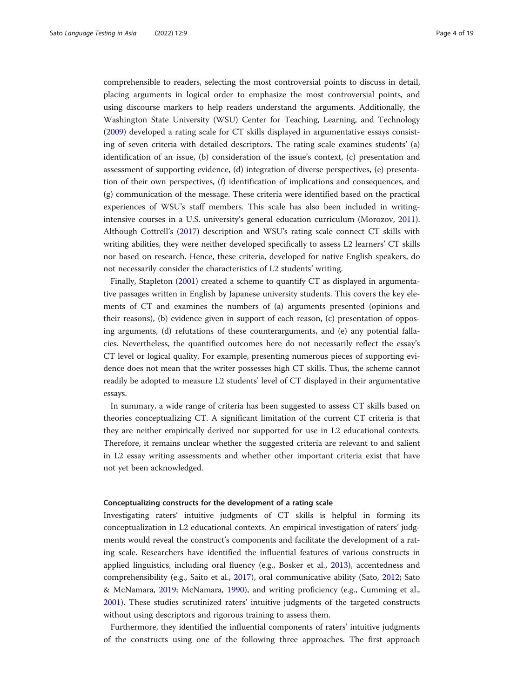comprehensible to readers, selecting the most controversial points to discuss in detail, placing arguments in logical order to emphasize the most controversial points, and using discourse markers to help readers understand the arguments. Additionally, the Washington State University (WSU) Center for Teaching, Learning, and Technology ([2009](#page-18-0)) developed a rating scale for CT skills displayed in argumentative essays consisting of seven criteria with detailed descriptors. The rating scale examines students' (a) identification of an issue, (b) consideration of the issue's context, (c) presentation and assessment of supporting evidence, (d) integration of diverse perspectives, (e) presentation of their own perspectives, (f) identification of implications and consequences, and (g) communication of the message. These criteria were identified based on the practical experiences of WSU's staff members. This scale has also been included in writingintensive courses in a U.S. university's general education curriculum (Morozov, [2011](#page-18-0)). Although Cottrell's [\(2017\)](#page-17-0) description and WSU's rating scale connect CT skills with writing abilities, they were neither developed specifically to assess L2 learners' CT skills nor based on research. Hence, these criteria, developed for native English speakers, do not necessarily consider the characteristics of L2 students' writing.

Finally, Stapleton ([2001](#page-18-0)) created a scheme to quantify CT as displayed in argumentative passages written in English by Japanese university students. This covers the key elements of CT and examines the numbers of (a) arguments presented (opinions and their reasons), (b) evidence given in support of each reason, (c) presentation of opposing arguments, (d) refutations of these counterarguments, and (e) any potential fallacies. Nevertheless, the quantified outcomes here do not necessarily reflect the essay's CT level or logical quality. For example, presenting numerous pieces of supporting evidence does not mean that the writer possesses high CT skills. Thus, the scheme cannot readily be adopted to measure L2 students' level of CT displayed in their argumentative essays.

In summary, a wide range of criteria has been suggested to assess CT skills based on theories conceptualizing CT. A significant limitation of the current CT criteria is that they are neither empirically derived nor supported for use in L2 educational contexts. Therefore, it remains unclear whether the suggested criteria are relevant to and salient in L2 essay writing assessments and whether other important criteria exist that have not yet been acknowledged.

#### Conceptualizing constructs for the development of a rating scale

Investigating raters' intuitive judgments of CT skills is helpful in forming its conceptualization in L2 educational contexts. An empirical investigation of raters' judgments would reveal the construct's components and facilitate the development of a rating scale. Researchers have identified the influential features of various constructs in applied linguistics, including oral fluency (e.g., Bosker et al., [2013\)](#page-17-0), accentedness and comprehensibility (e.g., Saito et al., [2017\)](#page-18-0), oral communicative ability (Sato, [2012](#page-18-0); Sato & McNamara, [2019](#page-18-0); McNamara, [1990\)](#page-17-0), and writing proficiency (e.g., Cumming et al., [2001](#page-17-0)). These studies scrutinized raters' intuitive judgments of the targeted constructs without using descriptors and rigorous training to assess them.

Furthermore, they identified the influential components of raters' intuitive judgments of the constructs using one of the following three approaches. The first approach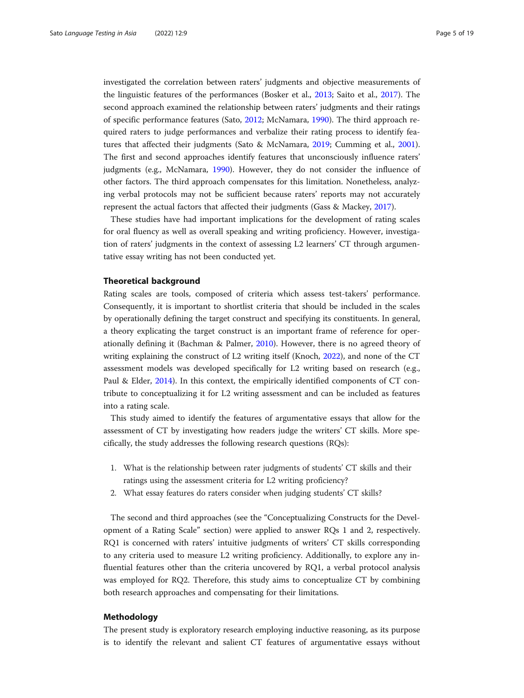investigated the correlation between raters' judgments and objective measurements of the linguistic features of the performances (Bosker et al., [2013](#page-17-0); Saito et al., [2017](#page-18-0)). The second approach examined the relationship between raters' judgments and their ratings of specific performance features (Sato, [2012;](#page-18-0) McNamara, [1990](#page-17-0)). The third approach required raters to judge performances and verbalize their rating process to identify features that affected their judgments (Sato & McNamara, [2019;](#page-18-0) Cumming et al., [2001](#page-17-0)). The first and second approaches identify features that unconsciously influence raters' judgments (e.g., McNamara, [1990](#page-17-0)). However, they do not consider the influence of other factors. The third approach compensates for this limitation. Nonetheless, analyzing verbal protocols may not be sufficient because raters' reports may not accurately represent the actual factors that affected their judgments (Gass & Mackey, [2017](#page-17-0)).

These studies have had important implications for the development of rating scales for oral fluency as well as overall speaking and writing proficiency. However, investigation of raters' judgments in the context of assessing L2 learners' CT through argumentative essay writing has not been conducted yet.

#### Theoretical background

Rating scales are tools, composed of criteria which assess test-takers' performance. Consequently, it is important to shortlist criteria that should be included in the scales by operationally defining the target construct and specifying its constituents. In general, a theory explicating the target construct is an important frame of reference for operationally defining it (Bachman & Palmer, [2010\)](#page-17-0). However, there is no agreed theory of writing explaining the construct of L2 writing itself (Knoch, [2022\)](#page-17-0), and none of the CT assessment models was developed specifically for L2 writing based on research (e.g., Paul & Elder, [2014\)](#page-18-0). In this context, the empirically identified components of CT contribute to conceptualizing it for L2 writing assessment and can be included as features into a rating scale.

This study aimed to identify the features of argumentative essays that allow for the assessment of CT by investigating how readers judge the writers' CT skills. More specifically, the study addresses the following research questions (RQs):

- 1. What is the relationship between rater judgments of students' CT skills and their ratings using the assessment criteria for L2 writing proficiency?
- 2. What essay features do raters consider when judging students' CT skills?

The second and third approaches (see the "Conceptualizing Constructs for the Development of a Rating Scale" section) were applied to answer RQs 1 and 2, respectively. RQ1 is concerned with raters' intuitive judgments of writers' CT skills corresponding to any criteria used to measure L2 writing proficiency. Additionally, to explore any influential features other than the criteria uncovered by RQ1, a verbal protocol analysis was employed for RQ2. Therefore, this study aims to conceptualize CT by combining both research approaches and compensating for their limitations.

### Methodology

The present study is exploratory research employing inductive reasoning, as its purpose is to identify the relevant and salient CT features of argumentative essays without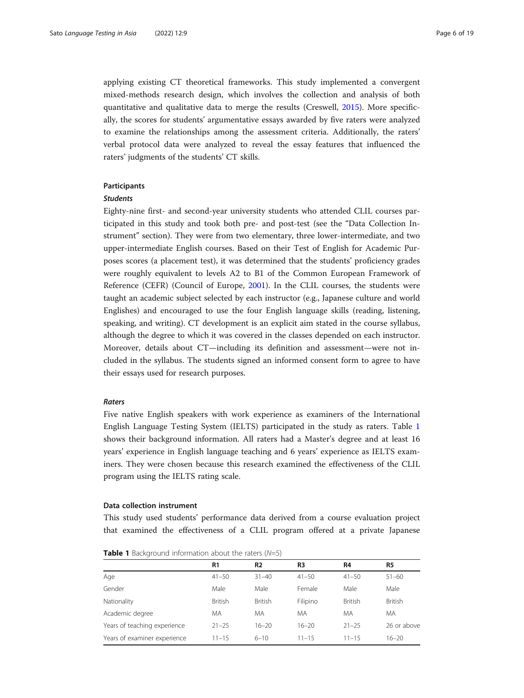applying existing CT theoretical frameworks. This study implemented a convergent mixed-methods research design, which involves the collection and analysis of both quantitative and qualitative data to merge the results (Creswell, [2015](#page-17-0)). More specifically, the scores for students' argumentative essays awarded by five raters were analyzed to examine the relationships among the assessment criteria. Additionally, the raters' verbal protocol data were analyzed to reveal the essay features that influenced the raters' judgments of the students' CT skills.

#### Participants

#### **Students**

Eighty-nine first- and second-year university students who attended CLIL courses participated in this study and took both pre- and post-test (see the "Data Collection Instrument" section). They were from two elementary, three lower-intermediate, and two upper-intermediate English courses. Based on their Test of English for Academic Purposes scores (a placement test), it was determined that the students' proficiency grades were roughly equivalent to levels A2 to B1 of the Common European Framework of Reference (CEFR) (Council of Europe, [2001\)](#page-17-0). In the CLIL courses, the students were taught an academic subject selected by each instructor (e.g., Japanese culture and world Englishes) and encouraged to use the four English language skills (reading, listening, speaking, and writing). CT development is an explicit aim stated in the course syllabus, although the degree to which it was covered in the classes depended on each instructor. Moreover, details about CT—including its definition and assessment—were not included in the syllabus. The students signed an informed consent form to agree to have their essays used for research purposes.

#### Raters

Five native English speakers with work experience as examiners of the International English Language Testing System (IELTS) participated in the study as raters. Table 1 shows their background information. All raters had a Master's degree and at least 16 years' experience in English language teaching and 6 years' experience as IELTS examiners. They were chosen because this research examined the effectiveness of the CLIL program using the IELTS rating scale.

#### Data collection instrument

This study used students' performance data derived from a course evaluation project that examined the effectiveness of a CLIL program offered at a private Japanese

|                              | R1             | R <sub>2</sub> | R <sub>3</sub> | R4             | R5             |
|------------------------------|----------------|----------------|----------------|----------------|----------------|
| Age                          | $41 - 50$      | $31 - 40$      | $41 - 50$      | $41 - 50$      | $51 - 60$      |
| Gender                       | Male           | Male           | Female         | Male           | Male           |
| Nationality                  | <b>British</b> | <b>British</b> | Filipino       | <b>British</b> | <b>British</b> |
| Academic degree              | MA             | MA             | MA             | MA             | <b>MA</b>      |
| Years of teaching experience | $21 - 25$      | $16 - 20$      | $16 - 20$      | $21 - 25$      | 26 or above    |
| Years of examiner experience | $11 - 15$      | $6 - 10$       | $11 - 15$      | $11 - 15$      | $16 - 20$      |

**Table 1** Background information about the raters  $(N=5)$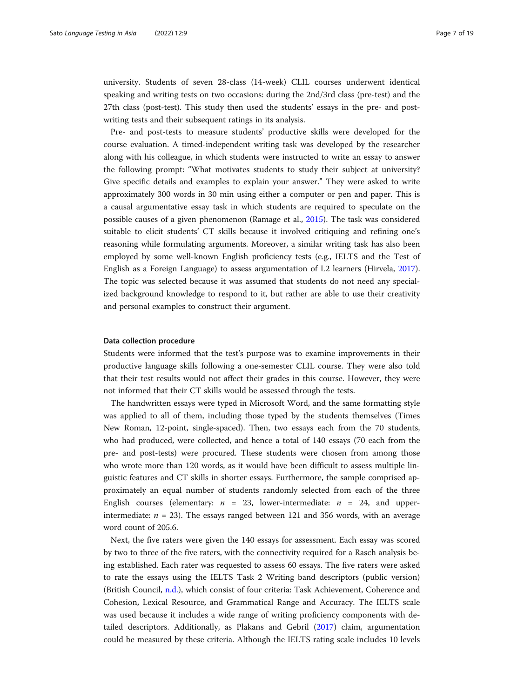university. Students of seven 28-class (14-week) CLIL courses underwent identical speaking and writing tests on two occasions: during the 2nd/3rd class (pre-test) and the 27th class (post-test). This study then used the students' essays in the pre- and postwriting tests and their subsequent ratings in its analysis.

Pre- and post-tests to measure students' productive skills were developed for the course evaluation. A timed-independent writing task was developed by the researcher along with his colleague, in which students were instructed to write an essay to answer the following prompt: "What motivates students to study their subject at university? Give specific details and examples to explain your answer." They were asked to write approximately 300 words in 30 min using either a computer or pen and paper. This is a causal argumentative essay task in which students are required to speculate on the possible causes of a given phenomenon (Ramage et al., [2015](#page-18-0)). The task was considered suitable to elicit students' CT skills because it involved critiquing and refining one's reasoning while formulating arguments. Moreover, a similar writing task has also been employed by some well-known English proficiency tests (e.g., IELTS and the Test of English as a Foreign Language) to assess argumentation of L2 learners (Hirvela, [2017](#page-17-0)). The topic was selected because it was assumed that students do not need any specialized background knowledge to respond to it, but rather are able to use their creativity and personal examples to construct their argument.

#### Data collection procedure

Students were informed that the test's purpose was to examine improvements in their productive language skills following a one-semester CLIL course. They were also told that their test results would not affect their grades in this course. However, they were not informed that their CT skills would be assessed through the tests.

The handwritten essays were typed in Microsoft Word, and the same formatting style was applied to all of them, including those typed by the students themselves (Times New Roman, 12-point, single-spaced). Then, two essays each from the 70 students, who had produced, were collected, and hence a total of 140 essays (70 each from the pre- and post-tests) were procured. These students were chosen from among those who wrote more than 120 words, as it would have been difficult to assess multiple linguistic features and CT skills in shorter essays. Furthermore, the sample comprised approximately an equal number of students randomly selected from each of the three English courses (elementary:  $n = 23$ , lower-intermediate:  $n = 24$ , and upperintermediate:  $n = 23$ ). The essays ranged between 121 and 356 words, with an average word count of 205.6.

Next, the five raters were given the 140 essays for assessment. Each essay was scored by two to three of the five raters, with the connectivity required for a Rasch analysis being established. Each rater was requested to assess 60 essays. The five raters were asked to rate the essays using the IELTS Task 2 Writing band descriptors (public version) (British Council, [n.d.\)](#page-17-0), which consist of four criteria: Task Achievement, Coherence and Cohesion, Lexical Resource, and Grammatical Range and Accuracy. The IELTS scale was used because it includes a wide range of writing proficiency components with detailed descriptors. Additionally, as Plakans and Gebril ([2017\)](#page-18-0) claim, argumentation could be measured by these criteria. Although the IELTS rating scale includes 10 levels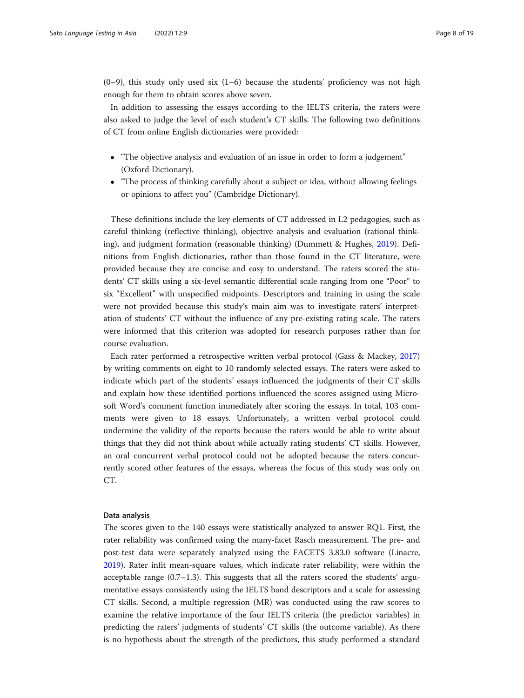$(0-9)$ , this study only used six  $(1-6)$  because the students' proficiency was not high enough for them to obtain scores above seven.

In addition to assessing the essays according to the IELTS criteria, the raters were also asked to judge the level of each student's CT skills. The following two definitions of CT from online English dictionaries were provided:

- "The objective analysis and evaluation of an issue in order to form a judgement" (Oxford Dictionary).
- "The process of thinking carefully about a subject or idea, without allowing feelings or opinions to affect you" (Cambridge Dictionary).

These definitions include the key elements of CT addressed in L2 pedagogies, such as careful thinking (reflective thinking), objective analysis and evaluation (rational thinking), and judgment formation (reasonable thinking) (Dummett & Hughes, [2019](#page-17-0)). Definitions from English dictionaries, rather than those found in the CT literature, were provided because they are concise and easy to understand. The raters scored the students' CT skills using a six-level semantic differential scale ranging from one "Poor" to six "Excellent" with unspecified midpoints. Descriptors and training in using the scale were not provided because this study's main aim was to investigate raters' interpretation of students' CT without the influence of any pre-existing rating scale. The raters were informed that this criterion was adopted for research purposes rather than for course evaluation.

Each rater performed a retrospective written verbal protocol (Gass & Mackey, [2017](#page-17-0)) by writing comments on eight to 10 randomly selected essays. The raters were asked to indicate which part of the students' essays influenced the judgments of their CT skills and explain how these identified portions influenced the scores assigned using Microsoft Word's comment function immediately after scoring the essays. In total, 103 comments were given to 18 essays. Unfortunately, a written verbal protocol could undermine the validity of the reports because the raters would be able to write about things that they did not think about while actually rating students' CT skills. However, an oral concurrent verbal protocol could not be adopted because the raters concurrently scored other features of the essays, whereas the focus of this study was only on CT.

#### Data analysis

The scores given to the 140 essays were statistically analyzed to answer RQ1. First, the rater reliability was confirmed using the many-facet Rasch measurement. The pre- and post-test data were separately analyzed using the FACETS 3.83.0 software (Linacre, [2019](#page-17-0)). Rater infit mean-square values, which indicate rater reliability, were within the acceptable range  $(0.7-1.3)$ . This suggests that all the raters scored the students' argumentative essays consistently using the IELTS band descriptors and a scale for assessing CT skills. Second, a multiple regression (MR) was conducted using the raw scores to examine the relative importance of the four IELTS criteria (the predictor variables) in predicting the raters' judgments of students' CT skills (the outcome variable). As there is no hypothesis about the strength of the predictors, this study performed a standard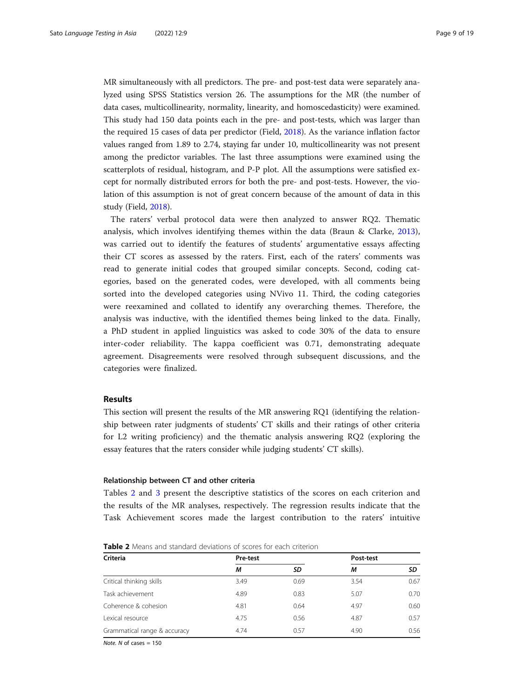MR simultaneously with all predictors. The pre- and post-test data were separately analyzed using SPSS Statistics version 26. The assumptions for the MR (the number of data cases, multicollinearity, normality, linearity, and homoscedasticity) were examined. This study had 150 data points each in the pre- and post-tests, which was larger than the required 15 cases of data per predictor (Field, [2018\)](#page-17-0). As the variance inflation factor values ranged from 1.89 to 2.74, staying far under 10, multicollinearity was not present among the predictor variables. The last three assumptions were examined using the scatterplots of residual, histogram, and P-P plot. All the assumptions were satisfied except for normally distributed errors for both the pre- and post-tests. However, the violation of this assumption is not of great concern because of the amount of data in this study (Field, [2018](#page-17-0)).

The raters' verbal protocol data were then analyzed to answer RQ2. Thematic analysis, which involves identifying themes within the data (Braun & Clarke, [2013](#page-17-0)), was carried out to identify the features of students' argumentative essays affecting their CT scores as assessed by the raters. First, each of the raters' comments was read to generate initial codes that grouped similar concepts. Second, coding categories, based on the generated codes, were developed, with all comments being sorted into the developed categories using NVivo 11. Third, the coding categories were reexamined and collated to identify any overarching themes. Therefore, the analysis was inductive, with the identified themes being linked to the data. Finally, a PhD student in applied linguistics was asked to code 30% of the data to ensure inter-coder reliability. The kappa coefficient was 0.71, demonstrating adequate agreement. Disagreements were resolved through subsequent discussions, and the categories were finalized.

#### Results

This section will present the results of the MR answering RQ1 (identifying the relationship between rater judgments of students' CT skills and their ratings of other criteria for L2 writing proficiency) and the thematic analysis answering RQ2 (exploring the essay features that the raters consider while judging students' CT skills).

#### Relationship between CT and other criteria

Tables 2 and [3](#page-9-0) present the descriptive statistics of the scores on each criterion and the results of the MR analyses, respectively. The regression results indicate that the Task Achievement scores made the largest contribution to the raters' intuitive

| <b>Table 2</b> Means and standard deviations of scores for each criterion |  |  |
|---------------------------------------------------------------------------|--|--|
|---------------------------------------------------------------------------|--|--|

| <b>Criteria</b>              | Pre-test |      | Post-test |      |
|------------------------------|----------|------|-----------|------|
|                              | М        | SD   | М         | SD   |
| Critical thinking skills     | 3.49     | 0.69 | 3.54      | 0.67 |
| Task achievement             | 4.89     | 0.83 | 5.07      | 0.70 |
| Coherence & cohesion         | 4.81     | 0.64 | 4.97      | 0.60 |
| Lexical resource             | 4.75     | 0.56 | 4.87      | 0.57 |
| Grammatical range & accuracy | 4.74     | 0.57 | 4.90      | 0.56 |

Note.  $N$  of cases  $= 150$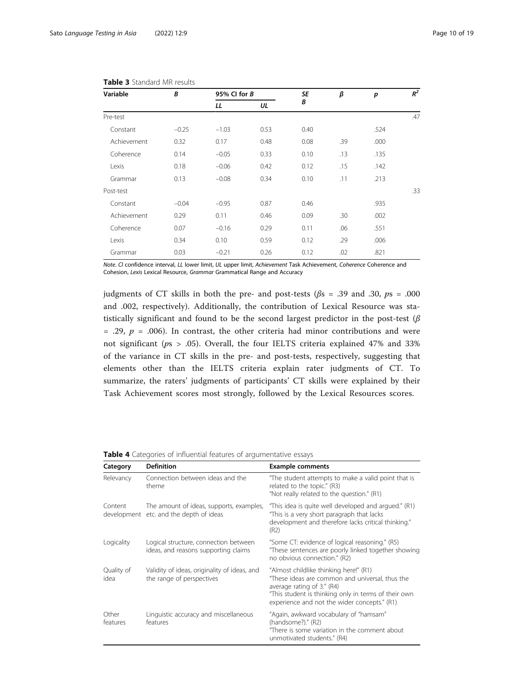| B<br>Variable |         |         | 95% CI for $B$ |      | β   | p    | $R^2$ |
|---------------|---------|---------|----------------|------|-----|------|-------|
|               | LL      | UL      | B              |      |     |      |       |
| Pre-test      |         |         |                |      |     |      | .47   |
| Constant      | $-0.25$ | $-1.03$ | 0.53           | 0.40 |     | .524 |       |
| Achievement   | 0.32    | 0.17    | 0.48           | 0.08 | .39 | .000 |       |
| Coherence     | 0.14    | $-0.05$ | 0.33           | 0.10 | .13 | .135 |       |
| Lexis         | 0.18    | $-0.06$ | 0.42           | 0.12 | .15 | .142 |       |
| Grammar       | 0.13    | $-0.08$ | 0.34           | 0.10 | .11 | .213 |       |
| Post-test     |         |         |                |      |     |      | .33   |
| Constant      | $-0.04$ | $-0.95$ | 0.87           | 0.46 |     | .935 |       |
| Achievement   | 0.29    | 0.11    | 0.46           | 0.09 | .30 | .002 |       |
| Coherence     | 0.07    | $-0.16$ | 0.29           | 0.11 | .06 | .551 |       |
| Lexis         | 0.34    | 0.10    | 0.59           | 0.12 | .29 | .006 |       |
| Grammar       | 0.03    | $-0.21$ | 0.26           | 0.12 | .02 | .821 |       |

#### <span id="page-9-0"></span>Table 3 Standard MR results

Note. CI confidence interval, LL lower limit, UL upper limit, Achievement Task Achievement, Coherence Coherence and Cohesion, Lexis Lexical Resource, Grammar Grammatical Range and Accuracy

judgments of CT skills in both the pre- and post-tests ( $\beta$ s = .39 and .30,  $p$ s = .000 and .002, respectively). Additionally, the contribution of Lexical Resource was statistically significant and found to be the second largest predictor in the post-test ( $\beta$ ) = .29,  $p$  = .006). In contrast, the other criteria had minor contributions and were not significant ( $ps > .05$ ). Overall, the four IELTS criteria explained 47% and 33% of the variance in CT skills in the pre- and post-tests, respectively, suggesting that elements other than the IELTS criteria explain rater judgments of CT. To summarize, the raters' judgments of participants' CT skills were explained by their Task Achievement scores most strongly, followed by the Lexical Resources scores.

| Category           | <b>Definition</b>                                                                   | <b>Example comments</b>                                                                                                                                                                                                         |
|--------------------|-------------------------------------------------------------------------------------|---------------------------------------------------------------------------------------------------------------------------------------------------------------------------------------------------------------------------------|
| Relevancy          | Connection between ideas and the<br>theme                                           | "The student attempts to make a valid point that is<br>related to the topic." (R3)<br>"Not really related to the question." (R1)                                                                                                |
| Content            | The amount of ideas, supports, examples,<br>development etc. and the depth of ideas | "This idea is quite well developed and argued." (R1)<br>"This is a very short paragraph that lacks<br>development and therefore lacks critical thinking."<br>(R2)                                                               |
| Logicality         | Logical structure, connection between<br>ideas, and reasons supporting claims       | "Some CT: evidence of logical reasoning." (R5)<br>"These sentences are poorly linked together showing<br>no obvious connection." (R2)                                                                                           |
| Quality of<br>idea | Validity of ideas, originality of ideas, and<br>the range of perspectives           | "Almost childlike thinking here!" (R1)<br>"These ideas are common and universal, thus the<br>average rating of 3." (R4)<br>"This student is thinking only in terms of their own<br>experience and not the wider concepts." (R1) |
| Other<br>features  | Linguistic accuracy and miscellaneous<br>features                                   | "Again, awkward vocabulary of "hamsam"<br>(handsome?)." (R2)<br>"There is some variation in the comment about<br>unmotivated students." (R4)                                                                                    |

|  |  |  |  | Table 4 Categories of influential features of argumentative essays |  |
|--|--|--|--|--------------------------------------------------------------------|--|
|--|--|--|--|--------------------------------------------------------------------|--|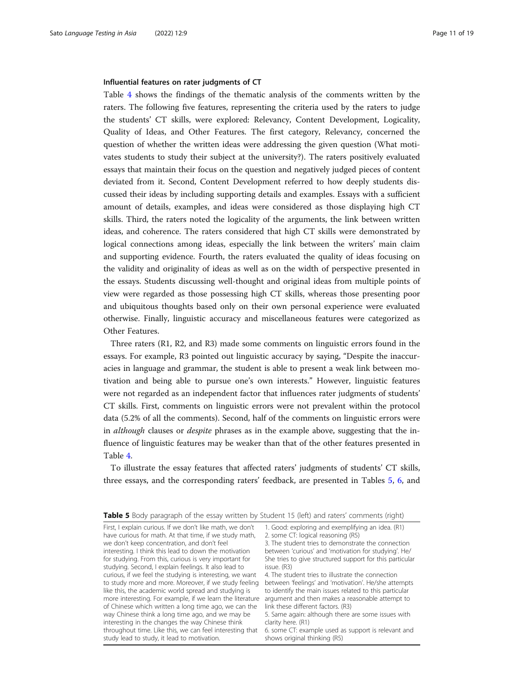#### <span id="page-10-0"></span>Influential features on rater judgments of CT

Table [4](#page-9-0) shows the findings of the thematic analysis of the comments written by the raters. The following five features, representing the criteria used by the raters to judge the students' CT skills, were explored: Relevancy, Content Development, Logicality, Quality of Ideas, and Other Features. The first category, Relevancy, concerned the question of whether the written ideas were addressing the given question (What motivates students to study their subject at the university?). The raters positively evaluated essays that maintain their focus on the question and negatively judged pieces of content deviated from it. Second, Content Development referred to how deeply students discussed their ideas by including supporting details and examples. Essays with a sufficient amount of details, examples, and ideas were considered as those displaying high CT skills. Third, the raters noted the logicality of the arguments, the link between written ideas, and coherence. The raters considered that high CT skills were demonstrated by logical connections among ideas, especially the link between the writers' main claim and supporting evidence. Fourth, the raters evaluated the quality of ideas focusing on the validity and originality of ideas as well as on the width of perspective presented in the essays. Students discussing well-thought and original ideas from multiple points of view were regarded as those possessing high CT skills, whereas those presenting poor and ubiquitous thoughts based only on their own personal experience were evaluated otherwise. Finally, linguistic accuracy and miscellaneous features were categorized as Other Features.

Three raters (R1, R2, and R3) made some comments on linguistic errors found in the essays. For example, R3 pointed out linguistic accuracy by saying, "Despite the inaccuracies in language and grammar, the student is able to present a weak link between motivation and being able to pursue one's own interests." However, linguistic features were not regarded as an independent factor that influences rater judgments of students' CT skills. First, comments on linguistic errors were not prevalent within the protocol data (5.2% of all the comments). Second, half of the comments on linguistic errors were in *although* clauses or *despite* phrases as in the example above, suggesting that the influence of linguistic features may be weaker than that of the other features presented in Table [4](#page-9-0).

To illustrate the essay features that affected raters' judgments of students' CT skills, three essays, and the corresponding raters' feedback, are presented in Tables 5, [6,](#page-11-0) and

| Table 5 Body paragraph of the essay written by Student 15 (left) and raters' comments (right) |  |  |
|-----------------------------------------------------------------------------------------------|--|--|
|                                                                                               |  |  |

| First, I explain curious. If we don't like math, we don't | 1. Good: exploring and exemplifying an idea. (R1)     |
|-----------------------------------------------------------|-------------------------------------------------------|
| have curious for math. At that time, if we study math,    | 2. some CT: logical reasoning (R5)                    |
| we don't keep concentration, and don't feel               | 3. The student tries to demonstrate the connection    |
| interesting. I think this lead to down the motivation     | between 'curious' and 'motivation for studying'. H    |
| for studying. From this, curious is very important for    | She tries to give structured support for this partici |
| studying. Second, I explain feelings. It also lead to     | issue. (R3)                                           |
| curious, if we feel the studying is interesting, we want  | 4. The student tries to illustrate the connection     |
| to study more and more. Moreover, if we study feeling     | between 'feelings' and 'motivation'. He/she attem     |
| like this, the academic world spread and studying is      | to identify the main issues related to this particula |
| more interesting. For example, if we learn the literature | argument and then makes a reasonable attempt t        |
| of Chinese which written a long time ago, we can the      | link these different factors. (R3)                    |
| way Chinese think a long time ago, and we may be          | 5. Same again: although there are some issues wit     |
| interesting in the changes the way Chinese think          | clarity here. (R1)                                    |
| throughout time. Like this, we can feel interesting that  | 6. some CT: example used as support is relevant a     |
| study lead to study, it lead to motivation.               | shows original thinking (R5)                          |
|                                                           |                                                       |

ome CT: logical reasoning (R5) he student tries to demonstrate the connection ween 'curious' and 'motivation for studying'. He/ tries to give structured support for this particular e. (R3) he student tries to illustrate the connection

ween 'feelings' and 'motivation'. He/she attempts dentify the main issues related to this particular ament and then makes a reasonable attempt to these different factors. (R3)

ame again: although there are some issues with ty here. (R1)

ome CT: example used as support is relevant and ws original thinking (R5)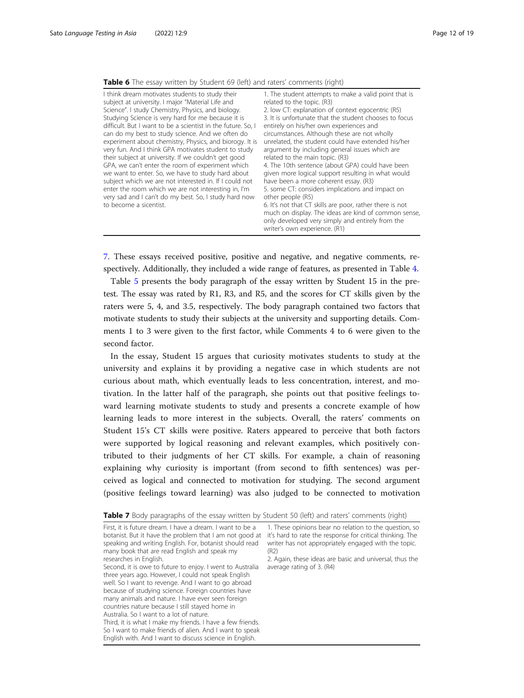<span id="page-11-0"></span>

|  |  | Table 6 The essay written by Student 69 (left) and raters' comments (right) |  |
|--|--|-----------------------------------------------------------------------------|--|
|--|--|-----------------------------------------------------------------------------|--|

7. These essays received positive, positive and negative, and negative comments, respectively. Additionally, they included a wide range of features, as presented in Table [4.](#page-9-0)

Table [5](#page-10-0) presents the body paragraph of the essay written by Student 15 in the pretest. The essay was rated by R1, R3, and R5, and the scores for CT skills given by the raters were 5, 4, and 3.5, respectively. The body paragraph contained two factors that motivate students to study their subjects at the university and supporting details. Comments 1 to 3 were given to the first factor, while Comments 4 to 6 were given to the second factor.

In the essay, Student 15 argues that curiosity motivates students to study at the university and explains it by providing a negative case in which students are not curious about math, which eventually leads to less concentration, interest, and motivation. In the latter half of the paragraph, she points out that positive feelings toward learning motivate students to study and presents a concrete example of how learning leads to more interest in the subjects. Overall, the raters' comments on Student 15's CT skills were positive. Raters appeared to perceive that both factors were supported by logical reasoning and relevant examples, which positively contributed to their judgments of her CT skills. For example, a chain of reasoning explaining why curiosity is important (from second to fifth sentences) was perceived as logical and connected to motivation for studying. The second argument (positive feelings toward learning) was also judged to be connected to motivation

| First, it is future dream. I have a dream. I want to be a  | 1. These opinions bear no relation to the question, so    |
|------------------------------------------------------------|-----------------------------------------------------------|
| botanist. But it have the problem that I am not good at    | it's hard to rate the response for critical thinking. The |
| speaking and writing English. For, botanist should read    | writer has not appropriately engaged with the topic.      |
| many book that are read English and speak my               | (R2)                                                      |
| researches in English.                                     | 2. Again, these ideas are basic and universal, thus the   |
| Second, it is owe to future to enjoy. I went to Australia  | average rating of 3. (R4)                                 |
| three years ago. However, I could not speak English        |                                                           |
| well. So I want to revenge. And I want to go abroad        |                                                           |
| because of studying science. Foreign countries have        |                                                           |
| many animals and nature. I have ever seen foreign          |                                                           |
| countries nature because I still stayed home in            |                                                           |
| Australia. So I want to a lot of nature.                   |                                                           |
| Third, it is what I make my friends. I have a few friends. |                                                           |
| So I want to make friends of alien. And I want to speak    |                                                           |
| English with. And I want to discuss science in English.    |                                                           |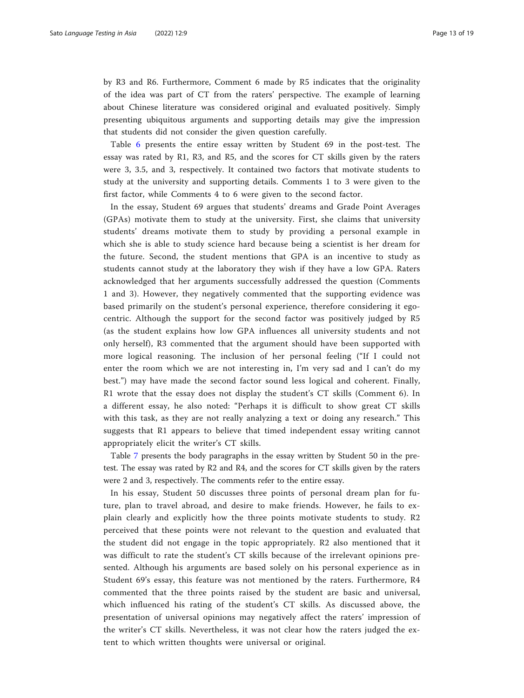by R3 and R6. Furthermore, Comment 6 made by R5 indicates that the originality of the idea was part of CT from the raters' perspective. The example of learning about Chinese literature was considered original and evaluated positively. Simply presenting ubiquitous arguments and supporting details may give the impression that students did not consider the given question carefully.

Table [6](#page-11-0) presents the entire essay written by Student 69 in the post-test. The essay was rated by R1, R3, and R5, and the scores for CT skills given by the raters were 3, 3.5, and 3, respectively. It contained two factors that motivate students to study at the university and supporting details. Comments 1 to 3 were given to the first factor, while Comments 4 to 6 were given to the second factor.

In the essay, Student 69 argues that students' dreams and Grade Point Averages (GPAs) motivate them to study at the university. First, she claims that university students' dreams motivate them to study by providing a personal example in which she is able to study science hard because being a scientist is her dream for the future. Second, the student mentions that GPA is an incentive to study as students cannot study at the laboratory they wish if they have a low GPA. Raters acknowledged that her arguments successfully addressed the question (Comments 1 and 3). However, they negatively commented that the supporting evidence was based primarily on the student's personal experience, therefore considering it egocentric. Although the support for the second factor was positively judged by R5 (as the student explains how low GPA influences all university students and not only herself), R3 commented that the argument should have been supported with more logical reasoning. The inclusion of her personal feeling ("If I could not enter the room which we are not interesting in, I'm very sad and I can't do my best.") may have made the second factor sound less logical and coherent. Finally, R1 wrote that the essay does not display the student's CT skills (Comment 6). In a different essay, he also noted: "Perhaps it is difficult to show great CT skills with this task, as they are not really analyzing a text or doing any research." This suggests that R1 appears to believe that timed independent essay writing cannot appropriately elicit the writer's CT skills.

Table [7](#page-11-0) presents the body paragraphs in the essay written by Student 50 in the pretest. The essay was rated by R2 and R4, and the scores for CT skills given by the raters were 2 and 3, respectively. The comments refer to the entire essay.

In his essay, Student 50 discusses three points of personal dream plan for future, plan to travel abroad, and desire to make friends. However, he fails to explain clearly and explicitly how the three points motivate students to study. R2 perceived that these points were not relevant to the question and evaluated that the student did not engage in the topic appropriately. R2 also mentioned that it was difficult to rate the student's CT skills because of the irrelevant opinions presented. Although his arguments are based solely on his personal experience as in Student 69's essay, this feature was not mentioned by the raters. Furthermore, R4 commented that the three points raised by the student are basic and universal, which influenced his rating of the student's CT skills. As discussed above, the presentation of universal opinions may negatively affect the raters' impression of the writer's CT skills. Nevertheless, it was not clear how the raters judged the extent to which written thoughts were universal or original.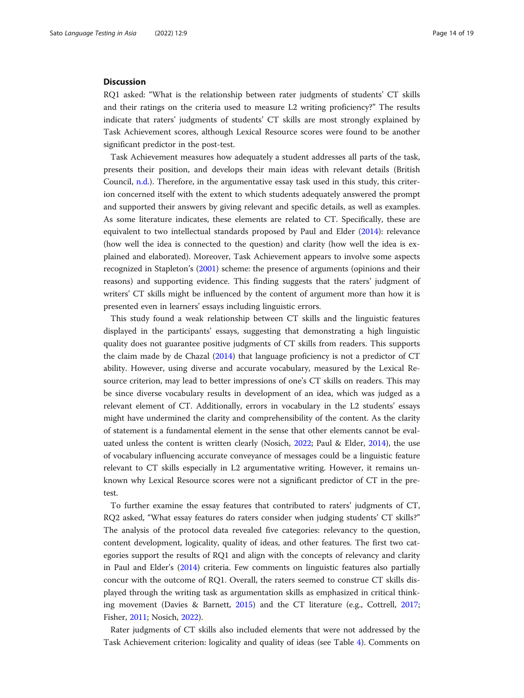#### **Discussion**

RQ1 asked: "What is the relationship between rater judgments of students' CT skills and their ratings on the criteria used to measure L2 writing proficiency?" The results indicate that raters' judgments of students' CT skills are most strongly explained by Task Achievement scores, although Lexical Resource scores were found to be another significant predictor in the post-test.

Task Achievement measures how adequately a student addresses all parts of the task, presents their position, and develops their main ideas with relevant details (British Council, [n.d.\)](#page-17-0). Therefore, in the argumentative essay task used in this study, this criterion concerned itself with the extent to which students adequately answered the prompt and supported their answers by giving relevant and specific details, as well as examples. As some literature indicates, these elements are related to CT. Specifically, these are equivalent to two intellectual standards proposed by Paul and Elder ([2014](#page-18-0)): relevance (how well the idea is connected to the question) and clarity (how well the idea is explained and elaborated). Moreover, Task Achievement appears to involve some aspects recognized in Stapleton's [\(2001\)](#page-18-0) scheme: the presence of arguments (opinions and their reasons) and supporting evidence. This finding suggests that the raters' judgment of writers' CT skills might be influenced by the content of argument more than how it is presented even in learners' essays including linguistic errors.

This study found a weak relationship between CT skills and the linguistic features displayed in the participants' essays, suggesting that demonstrating a high linguistic quality does not guarantee positive judgments of CT skills from readers. This supports the claim made by de Chazal ([2014](#page-17-0)) that language proficiency is not a predictor of CT ability. However, using diverse and accurate vocabulary, measured by the Lexical Resource criterion, may lead to better impressions of one's CT skills on readers. This may be since diverse vocabulary results in development of an idea, which was judged as a relevant element of CT. Additionally, errors in vocabulary in the L2 students' essays might have undermined the clarity and comprehensibility of the content. As the clarity of statement is a fundamental element in the sense that other elements cannot be evaluated unless the content is written clearly (Nosich, [2022;](#page-18-0) Paul & Elder, [2014\)](#page-18-0), the use of vocabulary influencing accurate conveyance of messages could be a linguistic feature relevant to CT skills especially in L2 argumentative writing. However, it remains unknown why Lexical Resource scores were not a significant predictor of CT in the pretest.

To further examine the essay features that contributed to raters' judgments of CT, RQ2 asked, "What essay features do raters consider when judging students' CT skills?" The analysis of the protocol data revealed five categories: relevancy to the question, content development, logicality, quality of ideas, and other features. The first two categories support the results of RQ1 and align with the concepts of relevancy and clarity in Paul and Elder's ([2014](#page-18-0)) criteria. Few comments on linguistic features also partially concur with the outcome of RQ1. Overall, the raters seemed to construe CT skills displayed through the writing task as argumentation skills as emphasized in critical thinking movement (Davies & Barnett, [2015](#page-17-0)) and the CT literature (e.g., Cottrell, [2017](#page-17-0); Fisher, [2011](#page-17-0); Nosich, [2022\)](#page-18-0).

Rater judgments of CT skills also included elements that were not addressed by the Task Achievement criterion: logicality and quality of ideas (see Table [4\)](#page-9-0). Comments on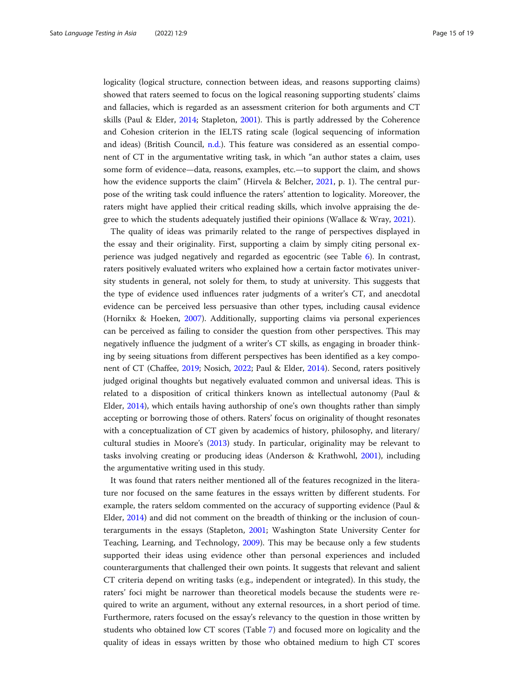logicality (logical structure, connection between ideas, and reasons supporting claims) showed that raters seemed to focus on the logical reasoning supporting students' claims and fallacies, which is regarded as an assessment criterion for both arguments and CT skills (Paul & Elder, [2014](#page-18-0); Stapleton, [2001\)](#page-18-0). This is partly addressed by the Coherence and Cohesion criterion in the IELTS rating scale (logical sequencing of information and ideas) (British Council, [n.d.](#page-17-0)). This feature was considered as an essential component of CT in the argumentative writing task, in which "an author states a claim, uses some form of evidence—data, reasons, examples, etc.—to support the claim, and shows how the evidence supports the claim" (Hirvela & Belcher, [2021](#page-17-0), p. 1). The central purpose of the writing task could influence the raters' attention to logicality. Moreover, the raters might have applied their critical reading skills, which involve appraising the degree to which the students adequately justified their opinions (Wallace & Wray, [2021](#page-18-0)).

The quality of ideas was primarily related to the range of perspectives displayed in the essay and their originality. First, supporting a claim by simply citing personal experience was judged negatively and regarded as egocentric (see Table [6](#page-11-0)). In contrast, raters positively evaluated writers who explained how a certain factor motivates university students in general, not solely for them, to study at university. This suggests that the type of evidence used influences rater judgments of a writer's CT, and anecdotal evidence can be perceived less persuasive than other types, including causal evidence (Hornikx & Hoeken, [2007](#page-17-0)). Additionally, supporting claims via personal experiences can be perceived as failing to consider the question from other perspectives. This may negatively influence the judgment of a writer's CT skills, as engaging in broader thinking by seeing situations from different perspectives has been identified as a key component of CT (Chaffee, [2019](#page-17-0); Nosich, [2022;](#page-18-0) Paul & Elder, [2014](#page-18-0)). Second, raters positively judged original thoughts but negatively evaluated common and universal ideas. This is related to a disposition of critical thinkers known as intellectual autonomy (Paul & Elder, [2014](#page-18-0)), which entails having authorship of one's own thoughts rather than simply accepting or borrowing those of others. Raters' focus on originality of thought resonates with a conceptualization of CT given by academics of history, philosophy, and literary/ cultural studies in Moore's [\(2013](#page-18-0)) study. In particular, originality may be relevant to tasks involving creating or producing ideas (Anderson & Krathwohl, [2001](#page-17-0)), including the argumentative writing used in this study.

It was found that raters neither mentioned all of the features recognized in the literature nor focused on the same features in the essays written by different students. For example, the raters seldom commented on the accuracy of supporting evidence (Paul & Elder, [2014\)](#page-18-0) and did not comment on the breadth of thinking or the inclusion of counterarguments in the essays (Stapleton, [2001;](#page-18-0) Washington State University Center for Teaching, Learning, and Technology, [2009\)](#page-18-0). This may be because only a few students supported their ideas using evidence other than personal experiences and included counterarguments that challenged their own points. It suggests that relevant and salient CT criteria depend on writing tasks (e.g., independent or integrated). In this study, the raters' foci might be narrower than theoretical models because the students were required to write an argument, without any external resources, in a short period of time. Furthermore, raters focused on the essay's relevancy to the question in those written by students who obtained low CT scores (Table [7](#page-11-0)) and focused more on logicality and the quality of ideas in essays written by those who obtained medium to high CT scores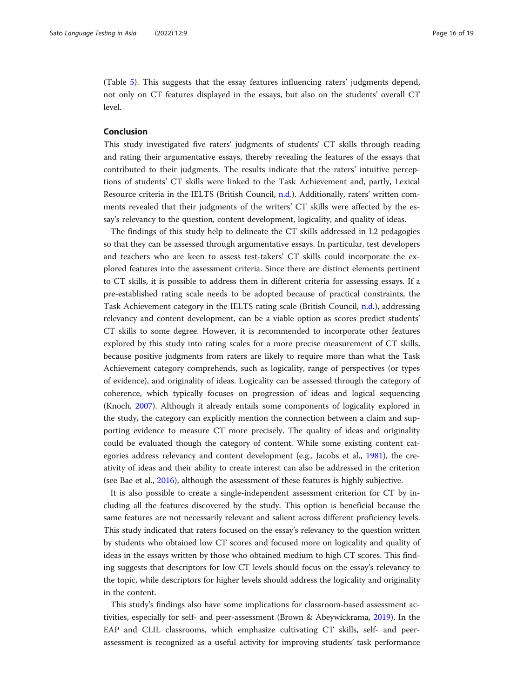(Table [5\)](#page-10-0). This suggests that the essay features influencing raters' judgments depend, not only on CT features displayed in the essays, but also on the students' overall CT level.

#### Conclusion

This study investigated five raters' judgments of students' CT skills through reading and rating their argumentative essays, thereby revealing the features of the essays that contributed to their judgments. The results indicate that the raters' intuitive perceptions of students' CT skills were linked to the Task Achievement and, partly, Lexical Resource criteria in the IELTS (British Council, [n.d.\)](#page-17-0). Additionally, raters' written comments revealed that their judgments of the writers' CT skills were affected by the essay's relevancy to the question, content development, logicality, and quality of ideas.

The findings of this study help to delineate the CT skills addressed in L2 pedagogies so that they can be assessed through argumentative essays. In particular, test developers and teachers who are keen to assess test-takers' CT skills could incorporate the explored features into the assessment criteria. Since there are distinct elements pertinent to CT skills, it is possible to address them in different criteria for assessing essays. If a pre-established rating scale needs to be adopted because of practical constraints, the Task Achievement category in the IELTS rating scale (British Council, [n.d.\)](#page-17-0), addressing relevancy and content development, can be a viable option as scores predict students' CT skills to some degree. However, it is recommended to incorporate other features explored by this study into rating scales for a more precise measurement of CT skills, because positive judgments from raters are likely to require more than what the Task Achievement category comprehends, such as logicality, range of perspectives (or types of evidence), and originality of ideas. Logicality can be assessed through the category of coherence, which typically focuses on progression of ideas and logical sequencing (Knoch, [2007](#page-17-0)). Although it already entails some components of logicality explored in the study, the category can explicitly mention the connection between a claim and supporting evidence to measure CT more precisely. The quality of ideas and originality could be evaluated though the category of content. While some existing content categories address relevancy and content development (e.g., Jacobs et al., [1981\)](#page-17-0), the creativity of ideas and their ability to create interest can also be addressed in the criterion (see Bae et al., [2016](#page-17-0)), although the assessment of these features is highly subjective.

It is also possible to create a single-independent assessment criterion for CT by including all the features discovered by the study. This option is beneficial because the same features are not necessarily relevant and salient across different proficiency levels. This study indicated that raters focused on the essay's relevancy to the question written by students who obtained low CT scores and focused more on logicality and quality of ideas in the essays written by those who obtained medium to high CT scores. This finding suggests that descriptors for low CT levels should focus on the essay's relevancy to the topic, while descriptors for higher levels should address the logicality and originality in the content.

This study's findings also have some implications for classroom-based assessment activities, especially for self- and peer-assessment (Brown & Abeywickrama, [2019](#page-17-0)). In the EAP and CLIL classrooms, which emphasize cultivating CT skills, self- and peerassessment is recognized as a useful activity for improving students' task performance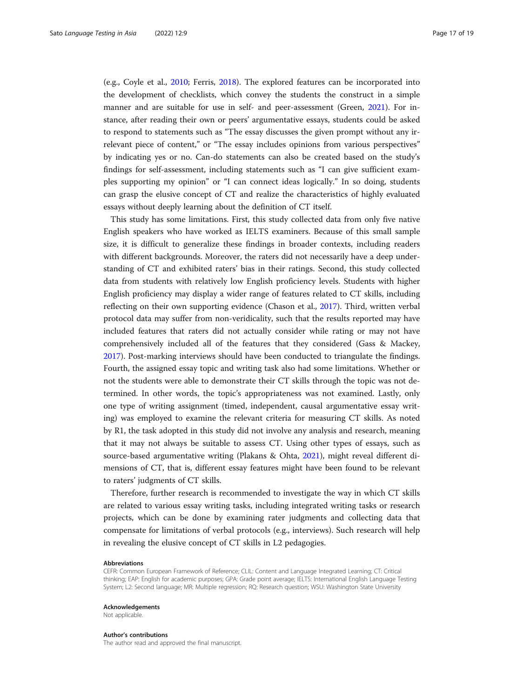(e.g., Coyle et al., [2010;](#page-17-0) Ferris, [2018\)](#page-17-0). The explored features can be incorporated into the development of checklists, which convey the students the construct in a simple manner and are suitable for use in self- and peer-assessment (Green, [2021](#page-17-0)). For instance, after reading their own or peers' argumentative essays, students could be asked to respond to statements such as "The essay discusses the given prompt without any irrelevant piece of content," or "The essay includes opinions from various perspectives" by indicating yes or no. Can-do statements can also be created based on the study's findings for self-assessment, including statements such as "I can give sufficient examples supporting my opinion" or "I can connect ideas logically." In so doing, students can grasp the elusive concept of CT and realize the characteristics of highly evaluated essays without deeply learning about the definition of CT itself.

This study has some limitations. First, this study collected data from only five native English speakers who have worked as IELTS examiners. Because of this small sample size, it is difficult to generalize these findings in broader contexts, including readers with different backgrounds. Moreover, the raters did not necessarily have a deep understanding of CT and exhibited raters' bias in their ratings. Second, this study collected data from students with relatively low English proficiency levels. Students with higher English proficiency may display a wider range of features related to CT skills, including reflecting on their own supporting evidence (Chason et al., [2017](#page-17-0)). Third, written verbal protocol data may suffer from non-veridicality, such that the results reported may have included features that raters did not actually consider while rating or may not have comprehensively included all of the features that they considered (Gass & Mackey, [2017](#page-17-0)). Post-marking interviews should have been conducted to triangulate the findings. Fourth, the assigned essay topic and writing task also had some limitations. Whether or not the students were able to demonstrate their CT skills through the topic was not determined. In other words, the topic's appropriateness was not examined. Lastly, only one type of writing assignment (timed, independent, causal argumentative essay writing) was employed to examine the relevant criteria for measuring CT skills. As noted by R1, the task adopted in this study did not involve any analysis and research, meaning that it may not always be suitable to assess CT. Using other types of essays, such as source-based argumentative writing (Plakans & Ohta, [2021\)](#page-18-0), might reveal different dimensions of CT, that is, different essay features might have been found to be relevant to raters' judgments of CT skills.

Therefore, further research is recommended to investigate the way in which CT skills are related to various essay writing tasks, including integrated writing tasks or research projects, which can be done by examining rater judgments and collecting data that compensate for limitations of verbal protocols (e.g., interviews). Such research will help in revealing the elusive concept of CT skills in L2 pedagogies.

#### Abbreviations

CEFR: Common European Framework of Reference; CLIL: Content and Language Integrated Learning; CT: Critical thinking; EAP: English for academic purposes; GPA: Grade point average; IELTS: International English Language Testing System; L2: Second language; MR: Multiple regression; RQ: Research question; WSU: Washington State University

#### Acknowledgements

Not applicable.

#### Author's contributions

The author read and approved the final manuscript.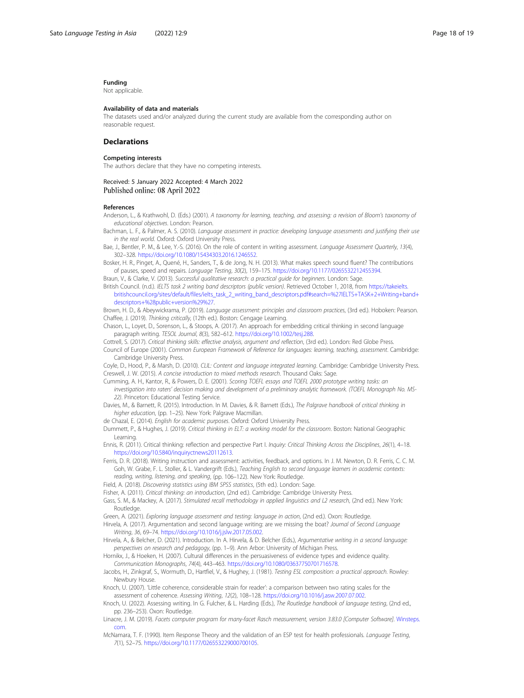#### <span id="page-17-0"></span>Funding

Not applicable.

#### Availability of data and materials

The datasets used and/or analyzed during the current study are available from the corresponding author on reasonable request.

#### **Declarations**

#### Competing interests

The authors declare that they have no competing interests.

#### Received: 5 January 2022 Accepted: 4 March 2022 Published online: 08 April 2022

#### References

- Anderson, L., & Krathwohl, D. (Eds.) (2001). A taxonomy for learning, teaching, and assessing: a revision of Bloom's taxonomy of educational objectives. London: Pearson.
- Bachman, L. F., & Palmer, A. S. (2010). Language assessment in practice: developing language assessments and justifying their use in the real world. Oxford: Oxford University Press.
- Bae, J., Bentler, P. M., & Lee, Y.-S. (2016). On the role of content in writing assessment. Language Assessment Quarterly, 13(4), 302–328. <https://doi.org/10.1080/15434303.2016.1246552>.
- Bosker, H. R., Pinget, A., Quené, H., Sanders, T., & de Jong, N. H. (2013). What makes speech sound fluent? The contributions of pauses, speed and repairs. Language Testing, 30(2), 159–175. [https://doi.org/10.1177/0265532212455394.](https://doi.org/10.1177/0265532212455394)
- Braun, V., & Clarke, V. (2013). Successful qualitative research: a practical guide for beginners. London: Sage.
- British Council. (n.d.). IELTS task 2 writing band descriptors (public version). Retrieved October 1, 2018, from [https://takeielts.](https://takeielts.britishcouncil.org/sites/default/files/ielts_task_2_writing_band_descriptors.pdf#search=%27IELTS+TASK+2+Writing+band+descriptors+%28public+version%29%27) [britishcouncil.org/sites/default/files/ielts\\_task\\_2\\_writing\\_band\\_descriptors.pdf#search=%27IELTS+TASK+2+Writing+band+](https://takeielts.britishcouncil.org/sites/default/files/ielts_task_2_writing_band_descriptors.pdf#search=%27IELTS+TASK+2+Writing+band+descriptors+%28public+version%29%27) [descriptors+%28public+version%29%27.](https://takeielts.britishcouncil.org/sites/default/files/ielts_task_2_writing_band_descriptors.pdf#search=%27IELTS+TASK+2+Writing+band+descriptors+%28public+version%29%27)

Brown, H. D., & Abeywickrama, P. (2019). Language assessment: principles and classroom practices, (3rd ed.). Hoboken: Pearson. Chaffee, J. (2019). Thinking critically, (12th ed.). Boston: Cengage Learning.

Chason, L., Loyet, D., Sorenson, L., & Stoops, A. (2017). An approach for embedding critical thinking in second language paragraph writing. TESOL Journal, 8(3), 582–612. [https://doi.org/10.1002/tesj.288.](https://doi.org/10.1002/tesj.288)

- Cottrell, S. (2017). Critical thinking skills: effective analysis, argument and reflection, (3rd ed.). London: Red Globe Press.
- Council of Europe (2001). Common European Framework of Reference for languages: learning, teaching, assessment. Cambridge: Cambridge University Press.

Coyle, D., Hood, P., & Marsh, D. (2010). CLIL: Content and language integrated learning. Cambridge: Cambridge University Press. Creswell, J. W. (2015). A concise introduction to mixed methods research. Thousand Oaks: Sage.

- Cumming, A. H., Kantor, R., & Powers, D. E. (2001). Scoring TOEFL essays and TOEFL 2000 prototype writing tasks: an
- investigation into raters' decision making and development of a preliminary analytic framework. (TOEFL Monograph No. MS-22). Princeton: Educational Testing Service.
- Davies, M., & Barnett, R. (2015). Introduction. In M. Davies, & R. Barnett (Eds.), The Palgrave handbook of critical thinking in higher education, (pp. 1–25). New York: Palgrave Macmillan.

de Chazal, E. (2014). English for academic purposes. Oxford: Oxford University Press.

Dummett, P., & Hughes, J. (2019). Critical thinking in ELT: a working model for the classroom. Boston: National Geographic Learning.

Ennis, R. (2011). Critical thinking: reflection and perspective Part I. Inquiry: Critical Thinking Across the Disciplines, 26(1), 4–18. [https://doi.org/10.5840/inquiryctnews20112613.](https://doi.org/10.5840/inquiryctnews20112613)

Ferris, D. R. (2018). Writing instruction and assessment: activities, feedback, and options. In J. M. Newton, D. R. Ferris, C. C. M. Goh, W. Grabe, F. L. Stoller, & L. Vandergrift (Eds.), Teaching English to second language learners in academic contexts: reading, writing, listening, and speaking, (pp. 106–122). New York: Routledge.

Field, A. (2018). Discovering statistics using IBM SPSS statistics, (5th ed.). London: Sage.

- Fisher, A. (2011). Critical thinking: an introduction, (2nd ed.). Cambridge: Cambridge University Press.
- Gass, S. M., & Mackey, A. (2017). Stimulated recall methodology in applied linguistics and L2 research, (2nd ed.). New York: Routledge.
- Green, A. (2021). Exploring language assessment and testing: language in action, (2nd ed.). Oxon: Routledge.
- Hirvela, A. (2017). Argumentation and second language writing: are we missing the boat? Journal of Second Language Writing, 36, 69–74. [https://doi.org/10.1016/j.jslw.2017.05.002.](https://doi.org/10.1016/j.jslw.2017.05.002)
- Hirvela, A., & Belcher, D. (2021). Introduction. In A. Hirvela, & D. Belcher (Eds.), Argumentative writing in a second language: perspectives on research and pedagogy, (pp. 1–9). Ann Arbor: University of Michigan Press.
- Hornikx, J., & Hoeken, H. (2007). Cultural differences in the persuasiveness of evidence types and evidence quality. Communication Monographs, 74(4), 443–463. [https://doi.org/10.1080/03637750701716578.](https://doi.org/10.1080/03637750701716578)
- Jacobs, H., Zinkgraf, S., Wormuth, D., Hartfiel, V., & Hughey, J. (1981). Testing ESL composition: a practical approach. Rowley. Newbury House.
- Knoch, U. (2007). 'Little coherence, considerable strain for reader': a comparison between two rating scales for the assessment of coherence. Assessing Writing, 12(2), 108–128. [https://doi.org/10.1016/j.asw.2007.07.002.](https://doi.org/10.1016/j.asw.2007.07.002)
- Knoch, U. (2022). Assessing writing. In G. Fulcher, & L. Harding (Eds.), The Routledge handbook of language testing, (2nd ed., pp. 236–253). Oxon: Routledge.
- Linacre, J. M. (2019). Facets computer program for many-facet Rasch measurement, version 3.83.0 [Computer Software]. [Winsteps.](http://winsteps.com) [com](http://winsteps.com).
- McNamara, T. F. (1990). Item Response Theory and the validation of an ESP test for health professionals. Language Testing, 7(1), 52–75. [https://doi.org/10.1177/026553229000700105.](https://doi.org/10.1177/026553229000700105)